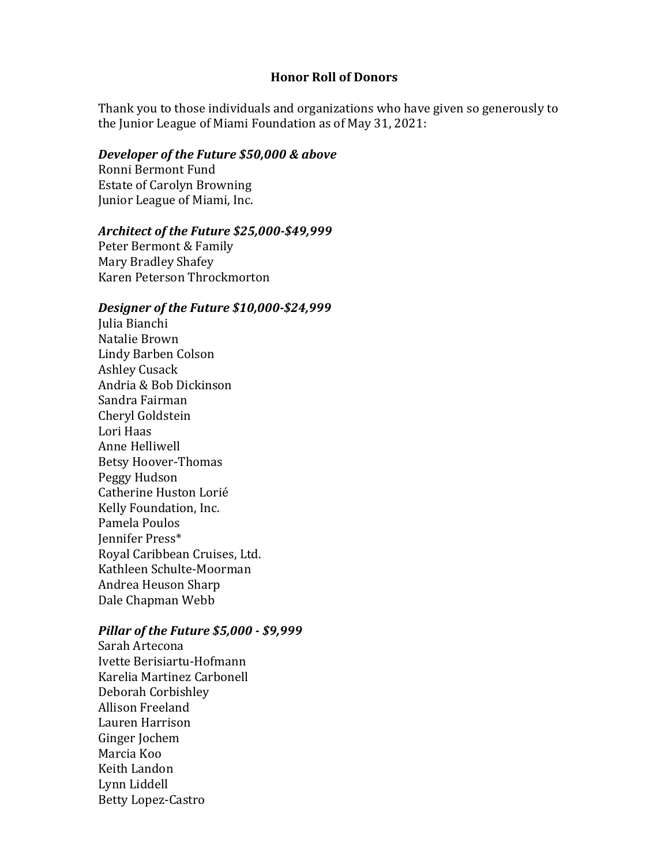#### **Honor Roll of Donors**

Thank you to those individuals and organizations who have given so generously to the Junior League of Miami Foundation as of May 31, 2021:

#### *Developer of the Future \$50,000 & above*

Ronni Bermont Fund **Estate of Carolyn Browning** Junior League of Miami, Inc.

## *Architect of the Future \$25,000-\$49,999*

Peter Bermont & Family Mary Bradley Shafey Karen Peterson Throckmorton

#### *Designer of the Future \$10,000-\$24,999*

Julia Bianchi Natalie Brown Lindy Barben Colson **Ashley Cusack** Andria & Bob Dickinson Sandra Fairman Cheryl Goldstein Lori Haas Anne Helliwell Betsy Hoover-Thomas Peggy Hudson Catherine Huston Lorié Kelly Foundation, Inc. Pamela Poulos Jennifer Press\* Royal Caribbean Cruises, Ltd. Kathleen Schulte-Moorman Andrea Heuson Sharp Dale Chapman Webb

### *Pillar of the Future \$5,000 - \$9,999*

Sarah Artecona Ivette Berisiartu-Hofmann Karelia Martinez Carbonell Deborah Corbishley Allison Freeland Lauren Harrison Ginger Jochem Marcia Koo Keith Landon Lynn Liddell Betty Lopez-Castro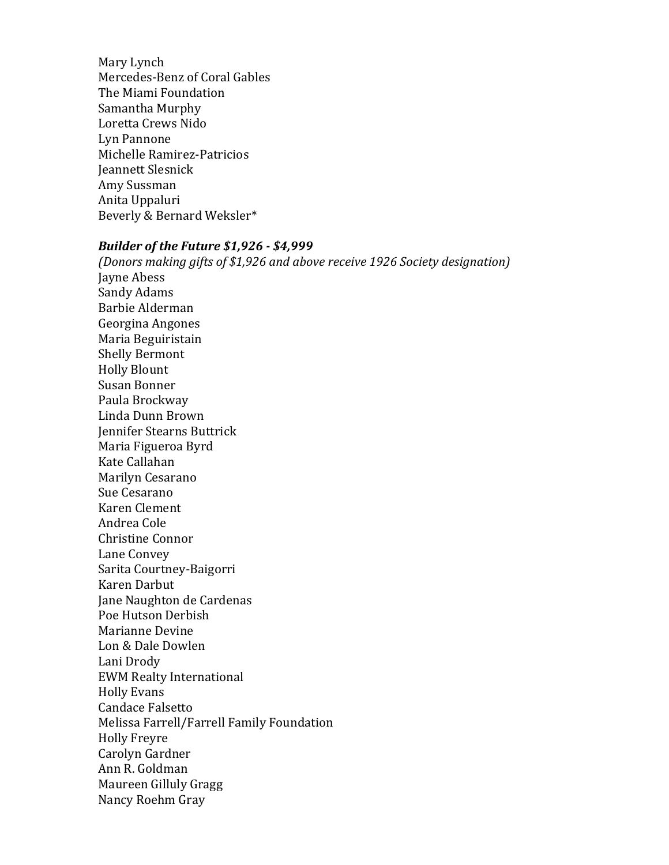Mary Lynch Mercedes-Benz of Coral Gables The Miami Foundation Samantha Murphy Loretta Crews Nido Lyn Pannone Michelle Ramirez-Patricios **Jeannett Slesnick** Amy Sussman Anita Uppaluri Beverly & Bernard Weksler\*

## *Builder of the Future \$1,926 - \$4,999*

*(Donors making gifts of \$1,926 and above receive 1926 Society designation)* Jayne Abess Sandy Adams Barbie Alderman Georgina Angones Maria Beguiristain Shelly Bermont Holly Blount Susan Bonner Paula Brockway Linda Dunn Brown Jennifer Stearns Buttrick Maria Figueroa Byrd Kate Callahan Marilyn Cesarano Sue Cesarano Karen Clement Andrea Cole Christine Connor Lane Convey Sarita Courtney-Baigorri Karen Darbut Jane Naughton de Cardenas Poe Hutson Derbish Marianne Devine Lon & Dale Dowlen Lani Drody EWM Realty International **Holly Evans** Candace Falsetto Melissa Farrell/Farrell Family Foundation Holly Freyre Carolyn Gardner Ann R. Goldman Maureen Gilluly Gragg Nancy Roehm Gray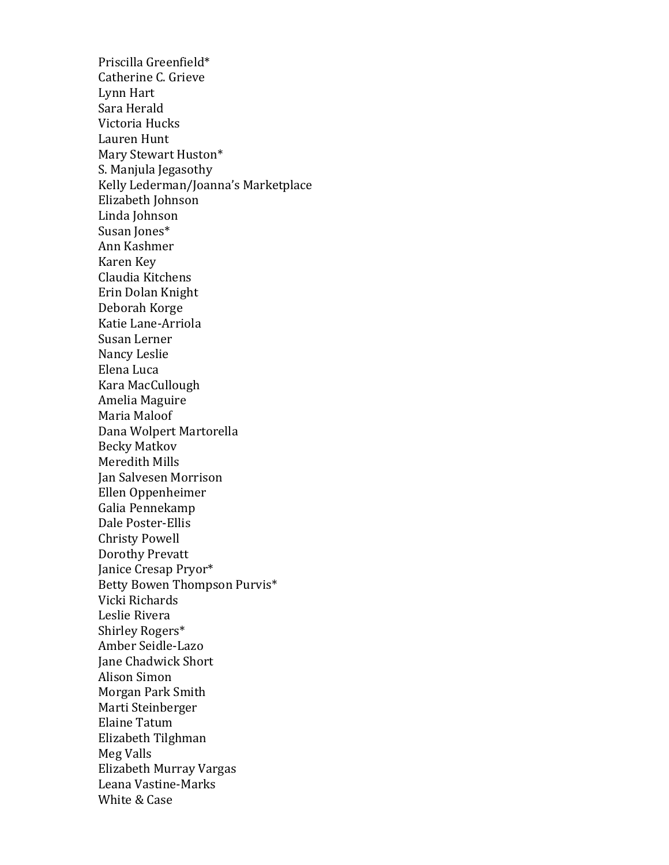Priscilla Greenfield\* Catherine C. Grieve Lynn Hart Sara Herald Victoria Hucks Lauren Hunt Mary Stewart Huston\* S. Manjula Jegasothy Kelly Lederman/Joanna's Marketplace Elizabeth Johnson Linda Johnson Susan Jones\* Ann Kashmer Karen Key Claudia Kitchens Erin Dolan Knight Deborah Korge Katie Lane-Arriola Susan Lerner Nancy Leslie Elena Luca Kara MacCullough Amelia Maguire Maria Maloof Dana Wolpert Martorella Becky Matkov Meredith Mills Jan Salvesen Morrison Ellen Oppenheimer Galia Pennekamp Dale Poster-Ellis Christy Powell Dorothy Prevatt Janice Cresap Pryor\* Betty Bowen Thompson Purvis\* Vicki Richards Leslie Rivera Shirley Rogers\* Amber Seidle-Lazo Jane Chadwick Short Alison Simon Morgan Park Smith Marti Steinberger Elaine Tatum Elizabeth Tilghman Meg Valls Elizabeth Murray Vargas Leana Vastine-Marks White & Case